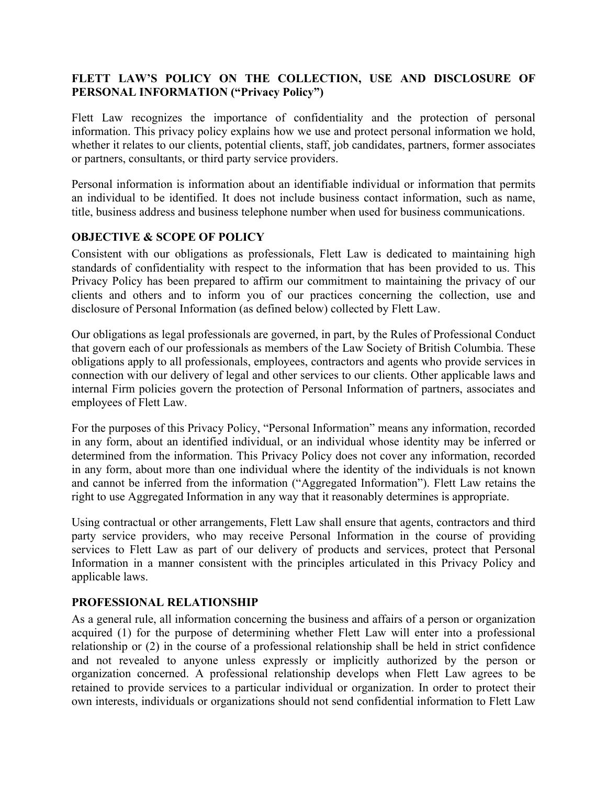# **FLETT LAW'S POLICY ON THE COLLECTION, USE AND DISCLOSURE OF PERSONAL INFORMATION ("Privacy Policy")**

Flett Law recognizes the importance of confidentiality and the protection of personal information. This privacy policy explains how we use and protect personal information we hold, whether it relates to our clients, potential clients, staff, job candidates, partners, former associates or partners, consultants, or third party service providers.

Personal information is information about an identifiable individual or information that permits an individual to be identified. It does not include business contact information, such as name, title, business address and business telephone number when used for business communications.

## **OBJECTIVE & SCOPE OF POLICY**

Consistent with our obligations as professionals, Flett Law is dedicated to maintaining high standards of confidentiality with respect to the information that has been provided to us. This Privacy Policy has been prepared to affirm our commitment to maintaining the privacy of our clients and others and to inform you of our practices concerning the collection, use and disclosure of Personal Information (as defined below) collected by Flett Law.

Our obligations as legal professionals are governed, in part, by the Rules of Professional Conduct that govern each of our professionals as members of the Law Society of British Columbia. These obligations apply to all professionals, employees, contractors and agents who provide services in connection with our delivery of legal and other services to our clients. Other applicable laws and internal Firm policies govern the protection of Personal Information of partners, associates and employees of Flett Law.

For the purposes of this Privacy Policy, "Personal Information" means any information, recorded in any form, about an identified individual, or an individual whose identity may be inferred or determined from the information. This Privacy Policy does not cover any information, recorded in any form, about more than one individual where the identity of the individuals is not known and cannot be inferred from the information ("Aggregated Information"). Flett Law retains the right to use Aggregated Information in any way that it reasonably determines is appropriate.

Using contractual or other arrangements, Flett Law shall ensure that agents, contractors and third party service providers, who may receive Personal Information in the course of providing services to Flett Law as part of our delivery of products and services, protect that Personal Information in a manner consistent with the principles articulated in this Privacy Policy and applicable laws.

# **PROFESSIONAL RELATIONSHIP**

As a general rule, all information concerning the business and affairs of a person or organization acquired (1) for the purpose of determining whether Flett Law will enter into a professional relationship or (2) in the course of a professional relationship shall be held in strict confidence and not revealed to anyone unless expressly or implicitly authorized by the person or organization concerned. A professional relationship develops when Flett Law agrees to be retained to provide services to a particular individual or organization. In order to protect their own interests, individuals or organizations should not send confidential information to Flett Law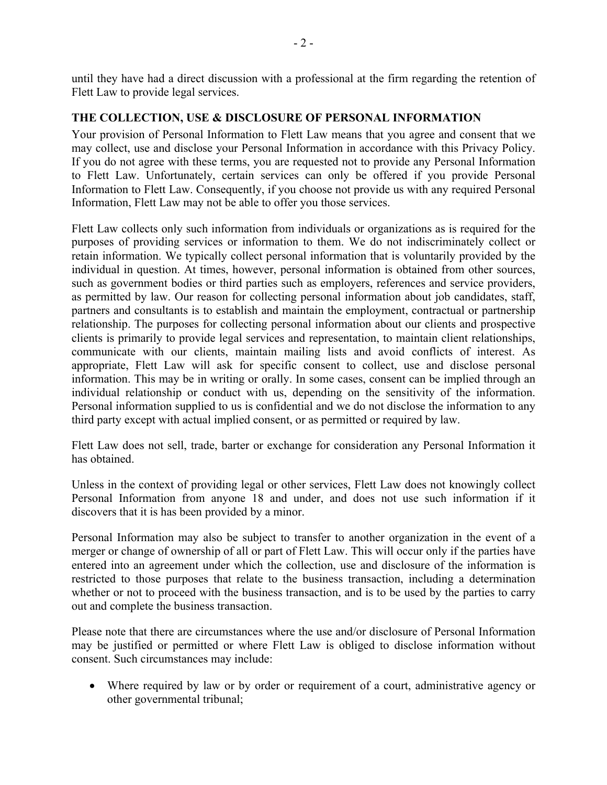until they have had a direct discussion with a professional at the firm regarding the retention of Flett Law to provide legal services.

### **THE COLLECTION, USE & DISCLOSURE OF PERSONAL INFORMATION**

Your provision of Personal Information to Flett Law means that you agree and consent that we may collect, use and disclose your Personal Information in accordance with this Privacy Policy. If you do not agree with these terms, you are requested not to provide any Personal Information to Flett Law. Unfortunately, certain services can only be offered if you provide Personal Information to Flett Law. Consequently, if you choose not provide us with any required Personal Information, Flett Law may not be able to offer you those services.

Flett Law collects only such information from individuals or organizations as is required for the purposes of providing services or information to them. We do not indiscriminately collect or retain information. We typically collect personal information that is voluntarily provided by the individual in question. At times, however, personal information is obtained from other sources, such as government bodies or third parties such as employers, references and service providers, as permitted by law. Our reason for collecting personal information about job candidates, staff, partners and consultants is to establish and maintain the employment, contractual or partnership relationship. The purposes for collecting personal information about our clients and prospective clients is primarily to provide legal services and representation, to maintain client relationships, communicate with our clients, maintain mailing lists and avoid conflicts of interest. As appropriate, Flett Law will ask for specific consent to collect, use and disclose personal information. This may be in writing or orally. In some cases, consent can be implied through an individual relationship or conduct with us, depending on the sensitivity of the information. Personal information supplied to us is confidential and we do not disclose the information to any third party except with actual implied consent, or as permitted or required by law.

Flett Law does not sell, trade, barter or exchange for consideration any Personal Information it has obtained.

Unless in the context of providing legal or other services, Flett Law does not knowingly collect Personal Information from anyone 18 and under, and does not use such information if it discovers that it is has been provided by a minor.

Personal Information may also be subject to transfer to another organization in the event of a merger or change of ownership of all or part of Flett Law. This will occur only if the parties have entered into an agreement under which the collection, use and disclosure of the information is restricted to those purposes that relate to the business transaction, including a determination whether or not to proceed with the business transaction, and is to be used by the parties to carry out and complete the business transaction.

Please note that there are circumstances where the use and/or disclosure of Personal Information may be justified or permitted or where Flett Law is obliged to disclose information without consent. Such circumstances may include:

• Where required by law or by order or requirement of a court, administrative agency or other governmental tribunal;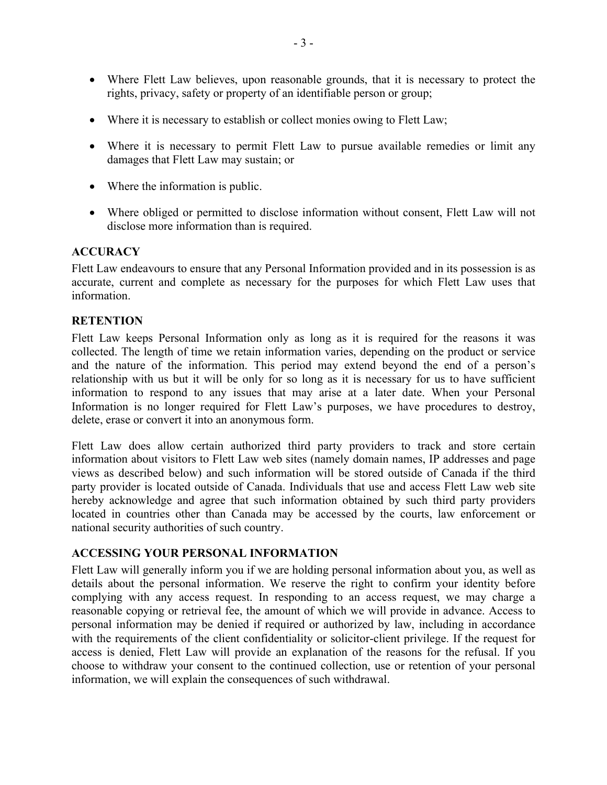- Where Flett Law believes, upon reasonable grounds, that it is necessary to protect the rights, privacy, safety or property of an identifiable person or group;
- Where it is necessary to establish or collect monies owing to Flett Law;
- Where it is necessary to permit Flett Law to pursue available remedies or limit any damages that Flett Law may sustain; or
- Where the information is public.
- Where obliged or permitted to disclose information without consent, Flett Law will not disclose more information than is required.

#### **ACCURACY**

Flett Law endeavours to ensure that any Personal Information provided and in its possession is as accurate, current and complete as necessary for the purposes for which Flett Law uses that information.

#### **RETENTION**

Flett Law keeps Personal Information only as long as it is required for the reasons it was collected. The length of time we retain information varies, depending on the product or service and the nature of the information. This period may extend beyond the end of a person's relationship with us but it will be only for so long as it is necessary for us to have sufficient information to respond to any issues that may arise at a later date. When your Personal Information is no longer required for Flett Law's purposes, we have procedures to destroy, delete, erase or convert it into an anonymous form.

Flett Law does allow certain authorized third party providers to track and store certain information about visitors to Flett Law web sites (namely domain names, IP addresses and page views as described below) and such information will be stored outside of Canada if the third party provider is located outside of Canada. Individuals that use and access Flett Law web site hereby acknowledge and agree that such information obtained by such third party providers located in countries other than Canada may be accessed by the courts, law enforcement or national security authorities of such country.

#### **ACCESSING YOUR PERSONAL INFORMATION**

Flett Law will generally inform you if we are holding personal information about you, as well as details about the personal information. We reserve the right to confirm your identity before complying with any access request. In responding to an access request, we may charge a reasonable copying or retrieval fee, the amount of which we will provide in advance. Access to personal information may be denied if required or authorized by law, including in accordance with the requirements of the client confidentiality or solicitor-client privilege. If the request for access is denied, Flett Law will provide an explanation of the reasons for the refusal. If you choose to withdraw your consent to the continued collection, use or retention of your personal information, we will explain the consequences of such withdrawal.